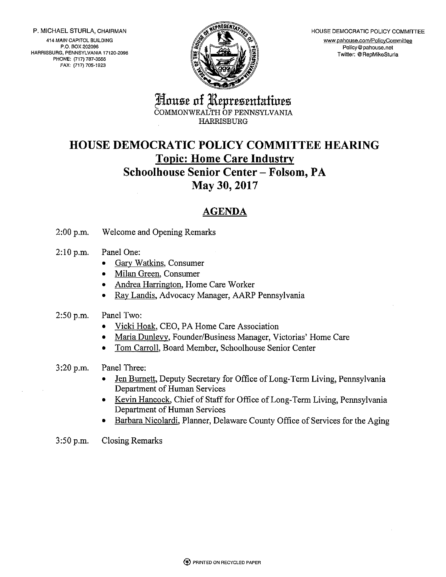P. MICHAEL STURLA, CHAIRMAN

414 MAIN CAPITOL BUILDING P.O. BOX 202096 HARRISBURG, PENNSYLVANIA 17120-2096 PHONE: (717) 787-3555 FAX: (717) 705-1923



HOUSE DEMOCRATIC POLICY COMMITTEE www.pahouse.com/PolicyCommittee Policy@pahouse.net Twitter: @ RepMikeSturla

House of Representatives ČOMMONWEALTH ÓF PENNSYLVANIA **HARRISBURG** 

### **HOUSE DEMOCRATIC POLICY COMMITTEE HEARING Topic: Home Care Industry Schoolhouse Senior Center - Folsom, PA**

May 30, 2017

### **AGENDA**

Welcome and Opening Remarks  $2:00 p.m.$ 

- $2:10 p.m.$ Panel One:
	- Gary Watkins, Consumer
	- Milan Green, Consumer
	- Andrea Harrington, Home Care Worker
	- Ray Landis, Advocacy Manager, AARP Pennsylvania
- $2:50 p.m.$ Panel Two:
	- Vicki Hoak, CEO, PA Home Care Association
	- Maria Dunlevy, Founder/Business Manager, Victorias' Home Care
	- Tom Carroll, Board Member, Schoolhouse Senior Center
- Panel Three:  $3:20 p.m.$ 
	- Jen Burnett, Deputy Secretary for Office of Long-Term Living, Pennsylvania Department of Human Services
	- Kevin Hancock, Chief of Staff for Office of Long-Term Living, Pennsylvania Department of Human Services
	- Barbara Nicolardi, Planner, Delaware County Office of Services for the Aging
- 3:50 p.m. **Closing Remarks**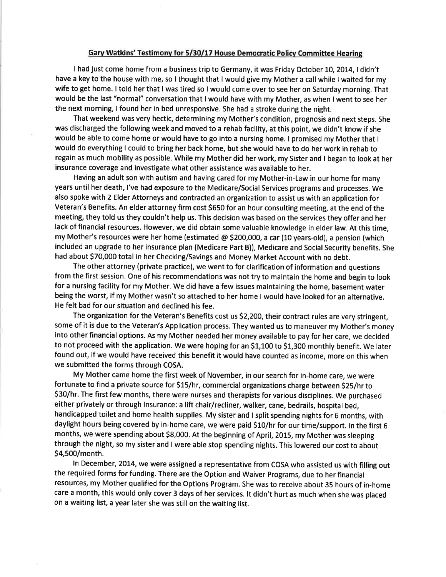#### Garv Watkins' Testimonv for 5/30/17 House Democratic Policv Committee Hearing

I had just come home from a business trip to Germany, it was Friday October 10, 2014, I didn't have a key to the house with me, so I thought that I would give my Mother a call while I waited for my wife to get home. I told her that I was tired so I would come over to see her on Saturday morning. That would be the last "normal" conversation that I would have with my Mother, as when I went to see her the next morning, I found her in bed unresponsive. She had a stroke during the night.

That weekend was very hectic, determining my Mother's condition, prognosis and next steps. She was discharged the following week and moved to a rehab facility, at this point, we didn't know if she would be able to come home or would have to go into a nursing home. I promised my Mother that <sup>I</sup> would do everything I could to bring her back home, but she would have to do her work in rehab to regain as much mobility as possible. While my Mother did her work, my Sister and I began to look at her insurance coverage and investigate what other assistance was available to her.

Having an adult son with autism and having cared for my Mother-in-Law in our home for many years until her death, l've had exposure to the Medicare/Social Services programs and processes. We also spoke with 2 Elder Attorneys and contracted an organization to assist us with an application for Veteran's Benefits. An elder attorney firm cost \$650 for an hour consulting meeting, at the end of the meeting, they told us they couldn't help us. This decision was based on the services they offer and her lack of financial resources. However, we did obtain some valuable knowledge in elder law. At this time, my Mother's resources were her home (estimated @ \$200,000, a car (10 years-old), a pension (which included an upgrade to her insurance plan (Medicare Part B)), Medicare and Social Security benefits. She had about 570,000 total in her Checking/Savings and Money Market Account with no debt.

The other attorney (private practice), we went to for clarification of information and questions from the first session. One of his recommendations was not try to maintain the home and begin to look for a nursing facility for my Mother. We did have a few issues maintaining the home, basement water being the worst, if my Mother wasn't so attached to her home I would have looked for an alternative. He felt bad for our situation and declined his fee.

The organization for the Veteran's Benefits cost us S2,2OO, their contract rules are very stringent, some of it is due to the Veteran's Application process. They wanted us to maneuver my Mother's money into other financial options. As my Mother needed her money available to pay for her care, we decided to not proceed with the application. We were hoping for an 51,100 to \$1,300 monthly benefit. We later found out, if we would have received this benefit it would have counted as income, more on this when we submitted the forms through COSA.

My Mother came home the first week of November, in our search for in-home care, we were fortunate to find a private source for S15/hr, commercial organizations charge between S25/hr to \$30/hr. The first few months, there were nurses and therapists for various disciplines. We purchased either privately or through lnsurance: a lift chair/recliner, walker, cane, bedrails, hospital bed, handicapped toilet and home health supplies. My sister and I split spending nights for 6 months, with daylight hours being covered by in-home care, we were paid S10/hr for our time/support. ln the first <sup>6</sup> months, we were spending about \$8,000. At the beginning of April, 2015, my Mother was sleeping through the night, so my sister and I were able stop spending nights. This lowered our cost to about S4,500/month.

In December, 2014, we were assigned a representative from COSA who assisted us with filling out the required forms for funding. There are the Option and Waiver Programs, due to her financial resources, my Mother qualified for the Options Program. She was to receive about 35 hours of in-home care a month, this would only cover 3 days of her services. lt didn't hurt as much when she was placed on a waiting list, a year later she was still on the waiting list.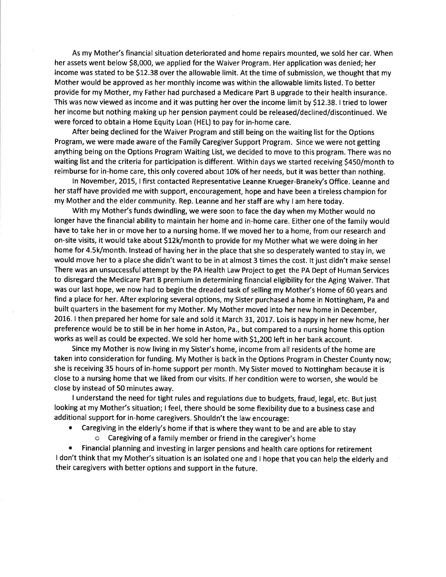As my Mother's financial situation deteriorated and home repairs mounted, we sold her car. When her assets went below 58,000, we applied for the Waiver Program. Her application was denied; her income was stated to be 512.38 over the allowable limit. At the time of submission, we thought that my Mother would be approved as her monthly income was within the allowable limits listed. To better provide for my Mother, my Father had purchased a Medicare Part B upgrade to their health insurance. This was now viewed as income and it was putting her over the income limit by 512.38. I tried to lower her income but nothing making up her pension payment could be released/declined/discontinued. We were forced to obtain a Home Equity Loan (HEL) to pay for in-home care.

After being declined for the Waiver Program and still being on the waiting list for the Options Program, we were made aware of the Family Caregiver Support Program. Since we were not getting anything being on the Options Program Waiting List, we decided to move to this program. There was no waiting list and the criteria for participation is different. Within days we started receiving S450/month to reimburse for in-home care, this only covered about 10% of her needs, but it was better than nothing.

In November, 2015, I first contacted Representative Leanne Krueger-Braneky's Office. Leanne and her staff have provided me with support, encouragement, hope and have been a tireless champion for my Mother and the elder community. Rep. Leanne and her staff are why I am here today.

With my Mother's funds dwindling, we were soon to face the day when my Mother would no longer have the financial ability to maintain her home and in-home care. Either one of the family would have to take her in or move her to a nursing home. lf we moved her to a home, from our research and on-site visits, it would take about S12k/month to provide for my Mother what we were doing in her home for 4.5k/month. lnstead of having her in the place that she so desperately wanted to stay in, we would move her to a place she didn't want to be in at almost 3 times the cost. lt just didn't make sensel There was an unsuccessful attempt by the PA Health Law Project to get the PA Dept of Human Services to disregard the Medicare Part B premium in determining financial eligibility for the Aging Waiver. That was our last hope, we now had to begin the dreaded task of selling my Mother's Home of 60 years and find a place for her. After exploring several options, my Sister purchased a home in Nottingham, Pa and built quarters in the basement for my Mother. My Mother moved into her new home in December, 2016. I then prepared her home for sale and sold it March 31, 2017. Lois is happy in her new home, her preference would be to still be in her home in Aston, Pa., but compared to a nursing home this option works as well as could be expected. We sold her home with \$1,200 left in her bank account.

Since my Mother is now living in my Sister's home, income from all residents of the home are taken into consideration for funding. My Mother is back in the Options Program in Chester County now; she is receiving 35 hours of in-home support per month. My Sister moved to Nottingham because it is close to a nursing home that we liked from our visits. lf her condition were to worsen, she would be close by instead of 50 minutes away.

I understand the need for tight rules and regulations due to budgets, fraud, legal, etc. But just looking at my Mother's situation; I feel, there should be some flexibility due to a business case and additional support for in-home caregivers. Shouldn't the law encourage:

- Caregiving in the elderly's home if that is where they want to be and are able to stay
	- Caregiving of a family member or friend in the caregiver's home

¡ Financial planning and investing in larger pensions and health care options for retirement I don't think that my Mother's situation is an isolated one and I hope that you can help the elderly and their caregivers with better options and support in the future.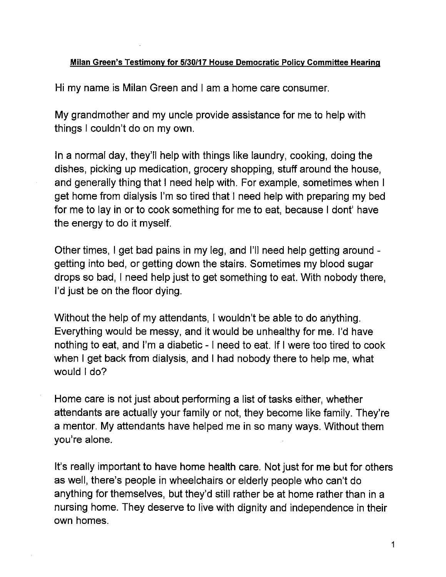### Milan Green's Testimony for 5/30/17 House Democratic Policy Committee Hearing

Hi my name is Milan Green and I am a home care consumer.

My grandmother and my uncle provide assistance for me to help with things I couldn't do on my own.

In a normal day, they'll help with things like laundry, cooking, doing the dishes, picking up medication, grocery shopping, stuff around the house. and generally thing that I need help with. For example, sometimes when I get home from dialysis I'm so tired that I need help with preparing my bed for me to lay in or to cook something for me to eat, because I dont' have the energy to do it myself.

Other times, I get bad pains in my leg, and I'll need help getting around getting into bed, or getting down the stairs. Sometimes my blood sugar drops so bad, I need help just to get something to eat. With nobody there, I'd just be on the floor dying.

Without the help of my attendants, I wouldn't be able to do anything. Everything would be messy, and it would be unhealthy for me. I'd have nothing to eat, and I'm a diabetic - I need to eat. If I were too tired to cook when I get back from dialysis, and I had nobody there to help me, what would I do?

Home care is not just about performing a list of tasks either, whether attendants are actually your family or not, they become like family. They're a mentor. My attendants have helped me in so many ways. Without them you're alone.

It's really important to have home health care. Not just for me but for others as well, there's people in wheelchairs or elderly people who can't do anything for themselves, but they'd still rather be at home rather than in a nursing home. They deserve to live with dignity and independence in their own homes.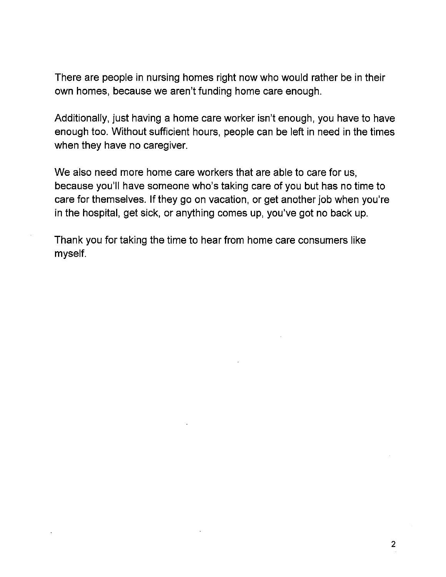There are people in nursing homes right now who would rather be in their own homes, because we aren't funding home care enough.

Additionally, just having a home care worker isn't enough, you have to have enough too. Without sufficient hours, people can be left in need in the times when they have no caregiver.

We also need more home care workers that are able to care for us. because you'll have someone who's taking care of you but has no time to care for themselves. If they go on vacation, or get another job when you're in the hospital, get sick, or anything comes up, you've got no back up.

Thank you for taking the time to hear from home care consumers like myself.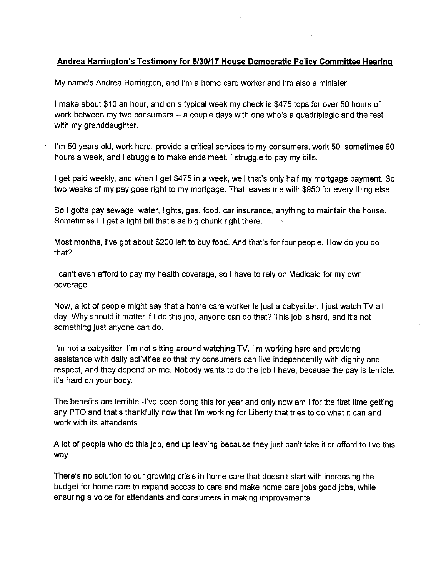#### Andrea Harrington's Testimony for 5/30/17 House Democratic Policy Committee Hearing

My name's Andrea Harrington, and I'm a home care worker and I'm also a minister.

I make about \$10 an hour, and on a typical week my check is \$475 tops for over 50 hours of work between my two consumers -- a couple days with one who's a quadriplegic and the rest with my granddaughter.

I'm 50 years old, work hard, provide a critical services to my consumers, work 50, sometimes 60 hours a week, and I struggle to make ends meet. I struggle to pay my bills.

I get paid weekly, and when I get \$475 in a week, well that's only half my mortgage payment. So two weeks of my pay goes right to my mortgage. That leaves me with \$950 for every thing else.

So I gotta pay sewage, water, lights, gas, food, car insurance, anything to maintain the house. Sometimes I'll get a light bill that's as big chunk right there.

Most months, I've got about \$200 left to buy food. And that's for four people. How do you do that?

I can't even afford to pay my health coverage, so I have to rely on Medicaid for my own coverage.

Now, a lot of people might say that a home care worker is just a babysitter. I just watch TV all day. Why should it matter if I do this job, anyone can do that? This job is hard, and it's not something just anyone can do.

I'm not a babysitter. I'm not sitting around watching TV. I'm working hard and providing assistance with daily activities so that my consumers can live independently with dignity and respect, and they depend on me. Nobody wants to do the job I have, because the pay is terrible. it's hard on your body.

The benefits are terrible--I've been doing this for year and only now am I for the first time getting any PTO and that's thankfully now that I'm working for Liberty that tries to do what it can and work with its attendants.

A lot of people who do this job, end up leaving because they just can't take it or afford to live this way.

There's no solution to our growing crisis in home care that doesn't start with increasing the budget for home care to expand access to care and make home care jobs good jobs, while ensuring a voice for attendants and consumers in making improvements.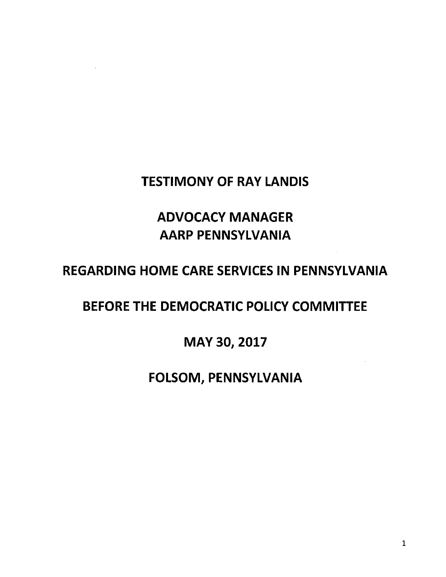### **TESTIMONY OF RAY LANDIS**

# **ADVOCACY MANAGER AARP PENNSYLVANIA**

# **REGARDING HOME CARE SERVICES IN PENNSYLVANIA**

# BEFORE THE DEMOCRATIC POLICY COMMITTEE

### MAY 30, 2017

### FOLSOM, PENNSYLVANIA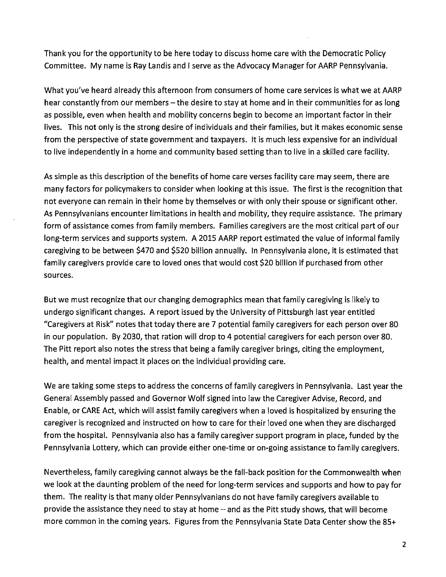Thank you for the opportunity to be here today to discuss home care with the Democratic Policy Committee. My name is Ray Landis and I serve as the Advocacy Manager for AARP Pennsylvania.

What you've heard already this afternoon from consumers of home care services is what we at AARP hear constantly from our members - the desire to stay at home and in their communities for as long as possible, even when health and mobility concerns begin to become an important factor in their lives. This not only is the strong desire of individuals and their families, but it makes economic sense from the perspective of state government and taxpayers. It is much less expensive for an individual to live independently in a home and community based setting than to live in a skilled care facility.

As simple as this description of the benefits of home care verses facility care may seem, there are many factors for policymakers to consider when looking at this issue. The first is the recognition that not everyone can remain in their home by themselves or with only their spouse or significant other. As Pennsylvanians encounter limitations in health and mobility, they require assistance. The primary form of assistance comes from family members. Families caregivers are the most critical part of our long-term services and supports system. A 2015 AARP report estimated the value of informal family caregiving to be between \$470 and \$520 billion annually. In Pennsylvania alone, it is estimated that family caregivers provide care to loved ones that would cost \$20 billion if purchased from other sources.

But we must recognize that our changing demographics mean that family caregiving is likely to undergo significant changes. A report issued by the University of Pittsburgh last year entitled "Caregivers at Risk" notes that today there are 7 potential family caregivers for each person over 80 in our population. By 2030, that ration will drop to 4 potential caregivers for each person over 80. The Pitt report also notes the stress that being a family caregiver brings, citing the employment, health, and mental impact it places on the individual providing care.

We are taking some steps to address the concerns of family caregivers in Pennsylvania. Last year the General Assembly passed and Governor Wolf signed into law the Caregiver Advise, Record, and Enable, or CARE Act, which will assist family caregivers when a loved is hospitalized by ensuring the caregiver is recognized and instructed on how to care for their loved one when they are discharged from the hospital. Pennsylvania also has a family caregiver support program in place, funded by the Pennsylvania Lottery, which can provide either one-time or on-going assistance to family caregivers.

Nevertheless, family caregiving cannot always be the fall-back position for the Commonwealth when we look at the daunting problem of the need for long-term services and supports and how to pay for them. The reality is that many older Pennsylvanians do not have family caregivers available to provide the assistance they need to stay at home  $-$  and as the Pitt study shows, that will become more common in the coming years. Figures from the Pennsylvania State Data Center show the 85+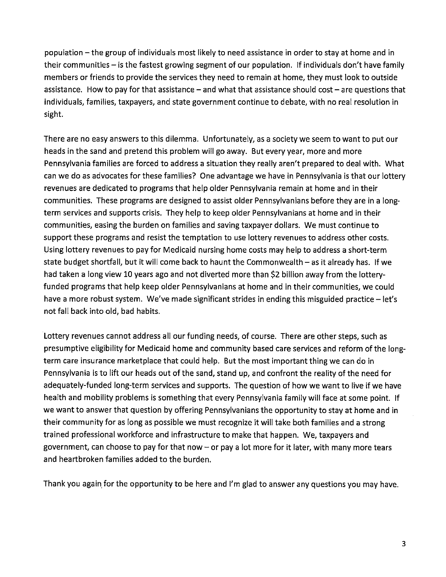population – the group of individuals most likely to need assistance in order to stay at home and in their communities - is the fastest growing segment of our population. If individuals don't have family members or friends to provide the services they need to remain at home, they must look to outside assistance. How to pay for that assistance  $-$  and what that assistance should cost  $-$  are questions that individuals, families, taxpayers, and state government continue to debate, with no real resolution in sight.

There are no easy answers to this dilemma. Unfortunately, as a society we seem to want to put our heads in the sand and pretend this problem will go away. But every year, more and more Pennsylvania families are forced to address a situation they really aren't prepared to deal with. What can we do as advocates for these families? One advantage we have in Pennsylvania is that our lottery revenues are dedicated to programs that help older Pennsylvania remain at home and in their communities. These programs are designed to assist older Pennsylvanians before they are in a longterm services and supports crisis. They help to keep older Pennsylvanians at home and in their communities, easing the burden on families and saving taxpayer dollars. We must continue to support these programs and resist the temptation to use lottery revenues to address other costs. Using lottery revenues to pay for Medicaid nursing home costs may help to address a short-term state budget shortfall, but it will come back to haunt the Commonwealth - as it already has. If we had taken a long view 10 years ago and not diverted more than \$2 billion away from the lotteryfunded programs that help keep older Pennsylvanians at home and in their communities, we could have a more robust system. We've made significant strides in ending this misguided practice - let's not fall back into old, bad habits.

Lottery revenues cannot address all our funding needs, of course. There are other steps, such as presumptive eligibility for Medicaid home and community based care services and reform of the longterm care insurance marketplace that could help. But the most important thing we can do in Pennsylvania is to lift our heads out of the sand, stand up, and confront the reality of the need for adequately-funded long-term services and supports. The question of how we want to live if we have health and mobility problems is something that every Pennsylvania family will face at some point. If we want to answer that question by offering Pennsylvanians the opportunity to stay at home and in their community for as long as possible we must recognize it will take both families and a strong trained professional workforce and infrastructure to make that happen. We, taxpayers and government, can choose to pay for that now  $-$  or pay a lot more for it later, with many more tears and heartbroken families added to the burden.

Thank you again for the opportunity to be here and I'm glad to answer any questions you may have.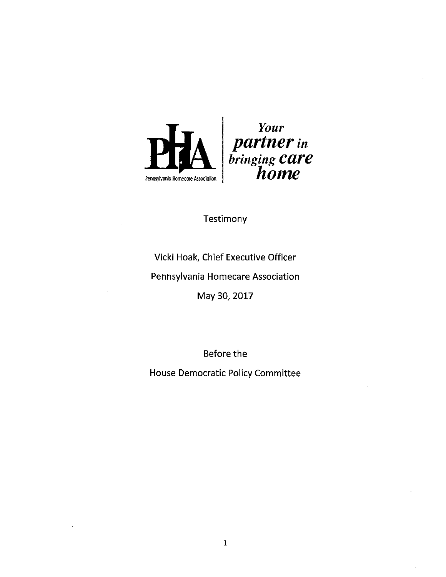

### Testimony

Vicki Hoak, Chief Executive Officer

Pennsylvania Homecare Association

May 30, 2017

Before the

**House Democratic Policy Committee**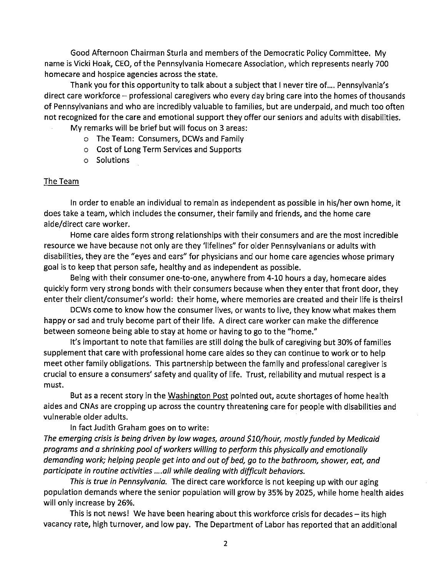Good Afternoon Chairman Sturla and members of the Democratic Policy Committee. My name is Vicki Hoak, CEO, of the Pennsylvania Homecare Association, which represents nearly 700 homecare and hospice agencies across the state.

Thank you for this opportunity to talk about a subject that I never tire of..., Pennsylvania's direct care workforce - professional caregivers who every day bring care into the homes of thousands of Pennsylvanians and who are incredibly valuable to families, but are underpaid, and much too often not recognized for the care and emotional support they offer our seniors and adults with disabilities.

- My remarks will be brief but will focus on 3 areas:
	- o The Team: Consumers, DCWs and Family
	- o Cost of Long Term Services and Supports
	- o Solutions

#### The Team

In order to enable an individual to remain as independent as possible in his/her own home, it does take a team, which includes the consumer, their family and friends, and the home care aide/direct care worker.

Home care aides form strong relationships with their consumers and are the most incredible resource we have because not only are they 'lifelines" for older Pennsylvanians or adults with disabilities, they are the "eyes and ears" for physicians and our home care agencies whose primary goal is to keep that person safe, healthy and as independent as possible.

Being with their consumer one-to-one, anywhere from 4-10 hours a day, homecare aides quickly form very strong bonds with their consumers because when they enter that front door, they enter their client/consumer's world: their home, where memories are created and their life is theirs!

DCWs come to know how the consumer lives, or wants to live, they know what makes them happy or sad and truly become part of their life. A direct care worker can make the difference between someone being able to stay at home or having to go to the "home."

It's important to note that families are still doing the bulk of caregiving but 30% of families supplement that care with professional home care aides so they can continue to work or to help meet other family obligations. This partnership between the family and professional caregiver is crucial to ensure a consumers' safety and quality of life. Trust, reliability and mutual respect is a must.

But as a recent story in the Washington Post pointed out, acute shortages of home health aides and CNAs are cropping up across the country threatening care for people with disabilities and vulnerable older adults.

In fact Judith Graham goes on to write:

The emerging crisis is being driven by low wages, around \$10/hour, mostly funded by Medicaid programs and a shrinking pool of workers willing to perform this physically and emotionally demanding work; helping people get into and out of bed, go to the bathroom, shower, eat, and participate in routine activities ....all while dealing with difficult behaviors.

This is true in Pennsylvania. The direct care workforce is not keeping up with our aging population demands where the senior population will grow by 35% by 2025, while home health aides will only increase by 26%.

This is not news! We have been hearing about this workforce crisis for decades - its high vacancy rate, high turnover, and low pay. The Department of Labor has reported that an additional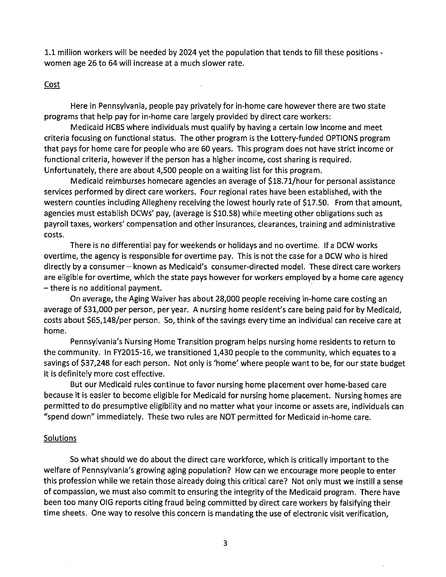1.1 million workers will be needed by 2024 yet the population that tends to fill these positions women age 26 to 64 will increase at a much slower rate.

#### Cost

Here in Pennsylvania, people pay privately for in-home care however there are two state programs that help pay for in-home care largely provided by direct care workers:

Medicaid HCBS where individuals must qualify by having a certain low income and meet criteria focusing on functional status. The other program is the Lottery-funded OPTIONS program that pays for home care for people who are 60 years. This program does not have strict income or functional criteria, however if the person has a higher income, cost sharing is required. Unfortunately, there are about 4,500 people on a waiting list for this program.

Medicaid reimburses homecare agencies an average of \$18.71/hour for personal assistance services performed by direct care workers. Four regional rates have been established, with the western counties including Allegheny receiving the lowest hourly rate of \$17.50. From that amount, agencies must establish DCWs' pay, (average is \$10.58) while meeting other obligations such as payroll taxes, workers' compensation and other insurances, clearances, training and administrative costs.

There is no differential pay for weekends or holidays and no overtime. If a DCW works overtime, the agency is responsible for overtime pay. This is not the case for a DCW who is hired directly by a consumer – known as Medicaid's consumer-directed model. These direct care workers are eligible for overtime, which the state pays however for workers employed by a home care agency  $-$  there is no additional payment.

On average, the Aging Waiver has about 28,000 people receiving in-home care costing an average of \$31,000 per person, per year. A nursing home resident's care being paid for by Medicaid, costs about \$65,148/per person. So, think of the savings every time an individual can receive care at home.

Pennsylvania's Nursing Home Transition program helps nursing home residents to return to the community. In FY2015-16, we transitioned 1,430 people to the community, which equates to a savings of \$37,248 for each person. Not only is 'home' where people want to be, for our state budget it is definitely more cost effective.

But our Medicaid rules continue to favor nursing home placement over home-based care because it is easier to become eligible for Medicaid for nursing home placement. Nursing homes are permitted to do presumptive eligibility and no matter what your income or assets are, individuals can "spend down" immediately. These two rules are NOT permitted for Medicaid in-home care.

#### **Solutions**

So what should we do about the direct care workforce, which is critically important to the welfare of Pennsylvania's growing aging population? How can we encourage more people to enter this profession while we retain those already doing this critical care? Not only must we instill a sense of compassion, we must also commit to ensuring the integrity of the Medicaid program. There have been too many OIG reports citing fraud being committed by direct care workers by falsifying their time sheets. One way to resolve this concern is mandating the use of electronic visit verification,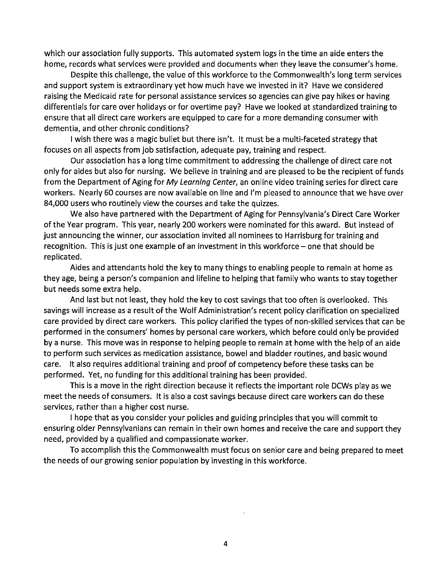which our association fully supports. This automated system logs in the time an aide enters the home, records what services were provided and documents when they leave the consumer's home.

Despite this challenge, the value of this workforce to the Commonwealth's long term services and support system is extraordinary yet how much have we invested in it? Have we considered raising the Medicaid rate for personal assistance services so agencies can give pay hikes or having differentials for care over holidays or for overtime pay? Have we looked at standardized training to ensure that all direct care workers are equipped to care for a more demanding consumer with dementia, and other chronic conditions?

I wish there was a magic bullet but there isn't. It must be a multi-faceted strategy that focuses on all aspects from job satisfaction, adequate pay, training and respect.

Our association has a long time commitment to addressing the challenge of direct care not only for aides but also for nursing. We believe in training and are pleased to be the recipient of funds from the Department of Aging for My Learning Center, an online video training series for direct care workers. Nearly 60 courses are now available on line and I'm pleased to announce that we have over 84,000 users who routinely view the courses and take the quizzes.

We also have partnered with the Department of Aging for Pennsylvania's Direct Care Worker of the Year program. This year, nearly 200 workers were nominated for this award. But instead of just announcing the winner, our association invited all nominees to Harrisburg for training and recognition. This is just one example of an investment in this workforce  $-$  one that should be replicated.

Aides and attendants hold the key to many things to enabling people to remain at home as they age, being a person's companion and lifeline to helping that family who wants to stay together but needs some extra help.

And last but not least, they hold the key to cost savings that too often is overlooked. This savings will increase as a result of the Wolf Administration's recent policy clarification on specialized care provided by direct care workers. This policy clarified the types of non-skilled services that can be performed in the consumers' homes by personal care workers, which before could only be provided by a nurse. This move was in response to helping people to remain at home with the help of an aide to perform such services as medication assistance, bowel and bladder routines, and basic wound care. It also requires additional training and proof of competency before these tasks can be performed. Yet, no funding for this additional training has been provided.

This is a move in the right direction because it reflects the important role DCWs play as we meet the needs of consumers. It is also a cost savings because direct care workers can do these services, rather than a higher cost nurse.

I hope that as you consider your policies and guiding principles that you will commit to ensuring older Pennsylvanians can remain in their own homes and receive the care and support they need, provided by a qualified and compassionate worker.

To accomplish this the Commonwealth must focus on senior care and being prepared to meet the needs of our growing senior population by investing in this workforce.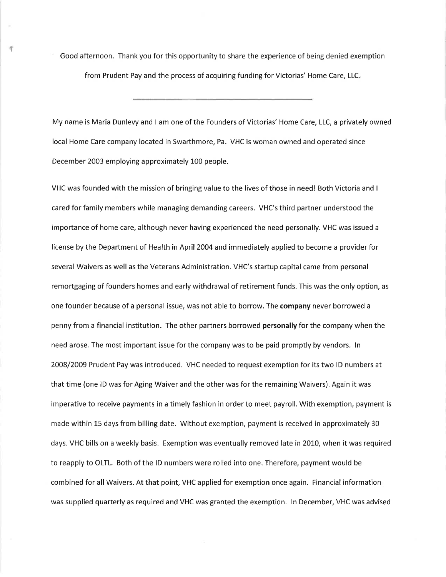Good afternoon. Thank you for this opportunity to share the experience of being denied exemption from Prudent Pay and the process of acquiring funding for Victorias' Home Care, LLC

 $\mathcal{A}$ 

My name is Maria Dunlevy and I am one of the Founders of Victorias' Home Care, LLC, a privately owned local Home Care company located in Swarthmore, Pa. VHC is woman owned and operated since December 2003 employing approximately L00 people.

VHC was founded with the mission of bringing value to the lives of those in need ! Both Victoria and <sup>I</sup> cared for family members while managing demanding careers. VHC's third partner understood the importance of home care, although never having experienced the need personally. VHC was issued a license by the Department of Health in April 2004 and immediately applied to become a provider for several Waivers as well as the Veterans Administration. VHC's startup capital came from personal remortgaging of founders homes and early withdrawal of retirement funds. This was the only option, as one founder because of a personal issue, was not able to borrow. The company never borrowed a penny from a financial institution. The other partners borrowed personally for the company when the need arose. The most important issue for the company was to be paid promptly by vendors. ln 2OO8/2OO9 Prudent Pay was introduced. VHC needed to request exemption for its two lD numbers at that time (one lD was for Aging Waiver and the other was for the remaining Waivers). Again it was imperative to receive payments in a timely fashion in order to meet payroll. With exemption, payment is made within 15 days from billing date. Without exemption, payment is received in approximately 30 days. VHC bills on a weekly basis. Exemption was eventually removed late in 2010, when it was required to reapply to OLTL. Both of the ID numbers were rolled into one. Therefore, payment would be combined for all Waivers. At that point, VHC applied for exemption once again. Financial information was supplied quarterly as required and VHC was granted the exemption. ln December, VHC was advised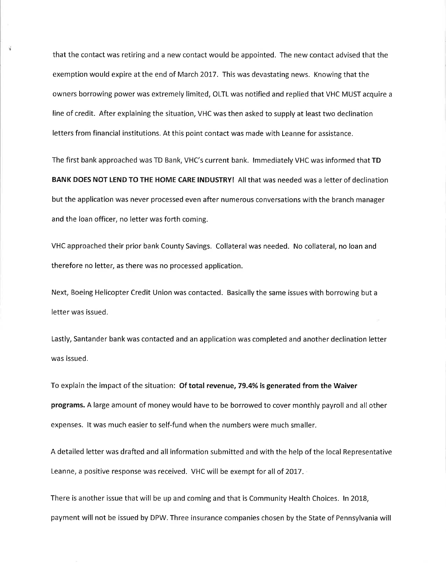that the contact was retiring and a new contact would be appointed. The new contact advised that the exemption would expire at the end of March 2017. This was devastating news. Knowing that the owners borrowing power was extremely limited, OLTL was notified and replied that VHC MUST acquire <sup>a</sup> line of credit. After explaining the situation, VHC was then asked to supply at least two declination letters from financial institutions. At this point contact was made with Leanne for assistance.

옾

The first bank approached was TD Bank, VHC's current bank. lmmediately VHC was informed that TD BANK DOES NOT LEND TO THE HOME CARE INDUSTRY! All that was needed was a letter of declination but the application was never processed even after numerous conversations with the branch manager and the loan officer, no letter was forth coming.

VHC approached their prior bank County Savings. Collateral was needed. No collateral, no loan and therefore no letter, as there was no processed application.

Next, Boeing Helicopter Credit Union was contacted. Basically the same issues with borrowing but <sup>a</sup> letter was issued.

Lastly, Santander bank was contacted and an application was completed and another declination letter was issued.

To explain the impact of the situation: Of total revenue, 79.4% is generated from the Waiver programs. A large amount of money would have to be borrowed to cover monthly payroll and all other expenses. lt was much easier to self-fund when the numbers were much smaller.

A detailed letter was drafted and all information submitted and with the help of the local Representative Leanne, a positive response was received. VHC will be exempt for all of 2017.

There is another issue that will be up and coming and that is Community Health Choices. ln 20L8, payment will not be issued by DPW. Three insurance companies chosen by the State of Pennsylvania will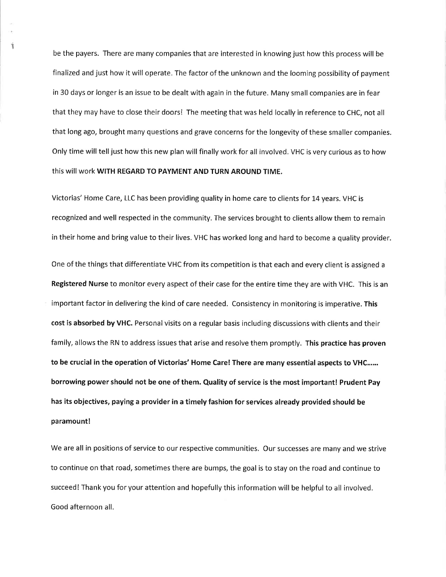be the payers. There are many companies that are interested in knowing just how this process will be finalized and just how it will operate. The factor of the unknown and the looming possibility of payment in 30 days or longer is an issue to be dealt with again in the future. Many small companies are in fear that they may have to close their doors! The meeting that was held locally in reference to CHC, not all that long ago, brought many questions and grave concerns for the longevity of these smaller companies. Only time will tell just how this new plan will finally work for all involved. VHC is very curious as to how this will work WITH REGARD TO PAYMENT AND TURN AROUND TIME.

ï

Victorias' Home Care, LLC has been providing quality in home care to clients for t4 years. VHC is recognized and well respected in the community. The services brought to clients allow them to remain in their home and bring value to their lives. VHC has worked long and hard to become a quality provider.

One of the things that differentiate VHC from its competition is that each and every client is assigned <sup>a</sup> Registered Nurse to monitor every aspect of their case for the entire time they are with VHC. This is an important factor in delivering the kind of care needed. Consistency in monitoring is imperative. This cost is absorbed by VHC. Personal visits on a regular basis including discussions with clients and their family, allows the RN to address issues that arise and resolve them promptly. This practice has proven to be crucial in the operation of Victorias' Home Care! There are many essential aspects to VHC...... borrowing power should not be one of them. Quality of service is the most important! Prudent Pay has its objectives, paying a provider in a timely fashion for services already provided should be paramount!

We are all in positions of service to our respective communities. Our successes are many and we strive to continue on that road, sometimes there are bumps, the goal is to stay on the road and continue to succeed! Thank you for your attention and hopefully this information will be helpful to all involved. Good afternoon all.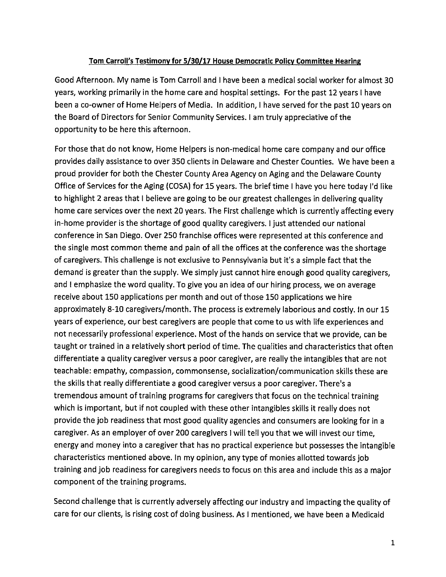#### Tom Carroll's Testimony for 5/30/17 House Democratic Policy Committee Hearing

Good Afternoon. My name is Tom Carroll and I have been a medical social worker for almost 30 years, working primarily in the home care and hospital settings. For the past 12 years I have been a co-owner of Home Helpers of Media. In addition, I have served for the past 10 years on the Board of Directors for Senior Community Services. I am truly appreciative of the opportunity to be here this afternoon.

For those that do not know, Home Helpers is non-medical home care company and our office provides daily assistance to over 350 clients in Delaware and Chester Counties. We have been a proud provider for both the Chester County Area Agency on Aging and the Delaware County Office of Services for the Aging (COSA) for 15 years. The brief time I have you here today I'd like to highlight 2 areas that I believe are going to be our greatest challenges in delivering quality home care services over the next 20 years. The First challenge which is currently affecting every in-home provider is the shortage of good quality caregivers. I just attended our national conference in San Diego. Over 250 franchise offices were represented at this conference and the single most common theme and pain of all the offices at the conference was the shortage of caregivers. This challenge is not exclusive to Pennsylvania but it's a simple fact that the demand is greater than the supply. We simply just cannot hire enough good quality caregivers, and I emphasize the word quality. To give you an idea of our hiring process, we on average receive about 150 applications per month and out of those 150 applications we hire approximately 8-10 caregivers/month. The process is extremely laborious and costly. In our 15 years of experience, our best caregivers are people that come to us with life experiences and not necessarily professional experience. Most of the hands on service that we provide, can be taught or trained in a relatively short period of time. The qualities and characteristics that often differentiate a quality caregiver versus a poor caregiver, are really the intangibles that are not teachable: empathy, compassion, commonsense, socialization/communication skills these are the skills that really differentiate a good caregiver versus a poor caregiver. There's a tremendous amount of training programs for caregivers that focus on the technical training which is important, but if not coupled with these other intangibles skills it really does not provide the job readiness that most good quality agencies and consumers are looking for in a caregiver. As an employer of over 200 caregivers I will tell you that we will invest our time, energy and money into a caregiver that has no practical experience but possesses the intangible characteristics mentioned above. In my opinion, any type of monies allotted towards job training and job readiness for caregivers needs to focus on this area and include this as a major component of the training programs.

Second challenge that is currently adversely affecting our industry and impacting the quality of care for our clients, is rising cost of doing business. As I mentioned, we have been a Medicaid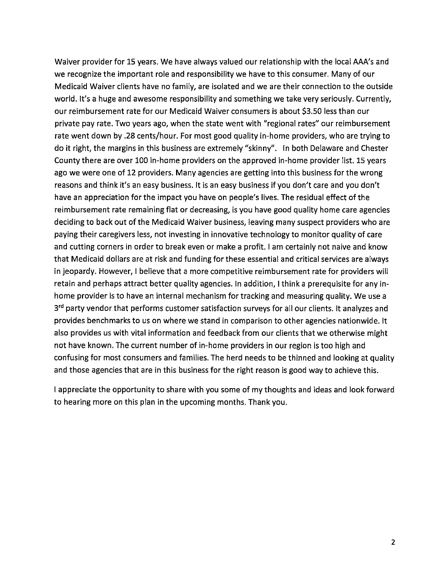Waiver provider for 15 years. We have always valued our relationship with the local AAA's and we recognize the important role and responsibility we have to this consumer. Many of our Medicaid Waiver clients have no family, are isolated and we are their connection to the outside world. It's a huge and awesome responsibility and something we take very seriously. Currently, our reimbursement rate for our Medicaid Waiver consumers is about \$3.50 less than our private pay rate. Two years ago, when the state went with "regional rates" our reimbursement rate went down by .28 cents/hour. For most good quality in-home providers, who are trying to do it right, the margins in this business are extremely "skinny". In both Delaware and Chester County there are over 100 in-home providers on the approved in-home provider list. 15 years ago we were one of 12 providers. Many agencies are getting into this business for the wrong reasons and think it's an easy business. It is an easy business if you don't care and you don't have an appreciation for the impact you have on people's lives. The residual effect of the reimbursement rate remaining flat or decreasing, is you have good quality home care agencies deciding to back out of the Medicaid Waiver business, leaving many suspect providers who are paying their caregivers less, not investing in innovative technology to monitor quality of care and cutting corners in order to break even or make a profit. I am certainly not naive and know that Medicaid dollars are at risk and funding for these essential and critical services are always in jeopardy. However, I believe that a more competitive reimbursement rate for providers will retain and perhaps attract better quality agencies. In addition, I think a prerequisite for any inhome provider is to have an internal mechanism for tracking and measuring quality. We use a 3rd party vendor that performs customer satisfaction surveys for all our clients. It analyzes and provides benchmarks to us on where we stand in comparison to other agencies nationwide. It also provides us with vital information and feedback from our clients that we otherwise might not have known. The current number of in-home providers in our region is too high and confusing for most consumers and families. The herd needs to be thinned and looking at quality and those agencies that are in this business for the right reason is good way to achieve this.

I appreciate the opportunity to share with you some of my thoughts and ideas and look forward to hearing more on this plan in the upcoming months. Thank you.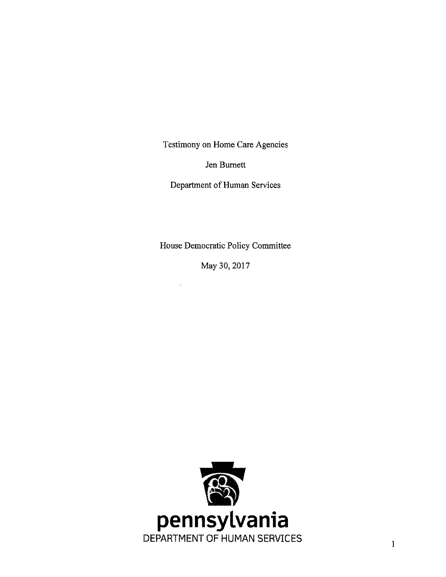Testimony on Home Care Agencies

Jen Burnett

Department of Human Services

House Democratic Policy Committee

May 30, 2017

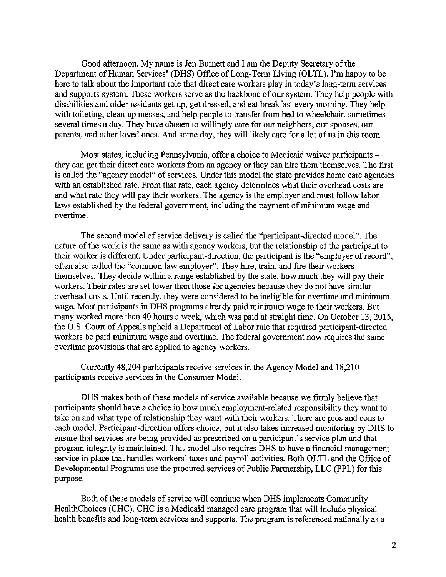Good afternoon. My name is Jen Burnett and I am the Deputy Secretary of the Department of Human Services' (DHS) Office of Long-Term Living (OLTL). I'm happy to be here to talk about the important role that direct care workers play in today's long-term services and supports system. These workers serve as the backbone of our system. They help people with disabilities and older residents get up, get dressed, and eat breakfast every morning. They help with toileting, clean up messes, and help people to transfer from bed to wheelchair, sometimes several times a day. They have chosen to willingly care for our neighbors, our spouses, our parents, and other loved ones. And some day, they will likely care for a lot of us in this room.

Most states, including Pennsylvania, offer a choice to Medicaid waiver participants – they can get their direct care workers from an agency or they can hire them themselves. The first is called the "agency model" of services. Under this model the state provides home care agencies with an established rate. From that rate, each agency determines what their overhead costs are and what rate they will pay their workers. The agency is the employer and must follow labor laws established by the federal government, including the payment of minimum wage and overtime.

The second model of service delivery is called the "participant-directed model". The nature of the work is the same as with agency workers, but the relationship of the participant to their worker is different. Under participant-direction, the participant is the "employer of record", often also called the "common law employer". They hire, train, and fire their workers themselves. They decide within a range established by the state, how much they will pay their workers. Their rates are set lower than those for agencies because they do not have similar overhead costs. Until recently, they were considered to be ineligible for overtime and minimum wage. Most participants in DHS programs already paid minimum wage to their workers. But many worked more than 40 hours a week, which was paid at straight time. On October 13, 2015, the U.S. Court of Appeals upheld a Department of Labor rule that required participant-directed workers be paid minimum wage and overtime. The federal government now requires the same overtime provisions that are applied to agency workers.

Currently 48,204 participants receive services in the Agency Model and 18,210 participants receive services in the Consumer Model.

DHS makes both of these models of service available because we firmly believe that participants should have a choice in how much employment-related responsibility they want to take on and what type of relationship they want with their workers. There are pros and cons to each model. Participant-direction offers choice, but it also takes increased monitoring by DHS to ensure that services are being provided as prescribed on a participant's service plan and that program integrity is maintained. This model also requires DHS to have a financial management service in place that handles workers' taxes and payroll activities. Both OLTL and the Office of Developmental Programs use the procured services of Public Partnership, LLC (PPL) for this purpose.

Both of these models of service will continue when DHS implements Community HealthChoices (CHC). CHC is a Medicaid managed care program that will include physical health benefits and long-term services and supports. The program is referenced nationally as a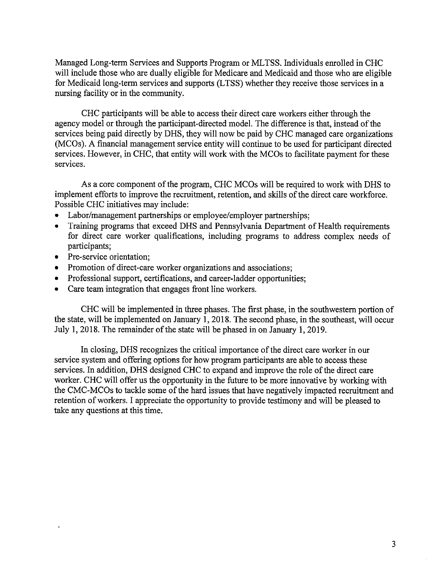Managed Long-term Services and Supports Program or MLTSS. Individuals enrolled in CHC will include those who are dually eligible for Medicare and Medicaid and those who are eligible for Medicaid long-term services and supports (LTSS) whether they receive those services in a nursing facility or in the community.

CHC participants will be able to access their direct care workers either through the agency model or through the participant-directed model. The difference is that, instead of the services being paid directly by DHS, they will now be paid by CHC managed care organizations (MCOs). A financial management service entity will continue to be used for participant directed services. However, in CHC, that entity will work with the MCOs to facilitate payment for these services.

As a core component of the program, CHC MCOs will be required to work with DHS to implement efforts to improve the recruitment, retention, and skills of the direct care workforce. Possible CHC initiatives may include:

- Labor/management partnerships or employee/employer partnerships;
- Training programs that exceed DHS and Pennsylvania Department of Health requirements for direct care worker qualifications, including programs to address complex needs of participants;
- Pre-service orientation;
- Promotion of direct-care worker organizations and associations;  $\bullet$
- Professional support, certifications, and career-ladder opportunities;  $\bullet$
- Care team integration that engages front line workers.

CHC will be implemented in three phases. The first phase, in the southwestern portion of the state, will be implemented on January 1, 2018. The second phase, in the southeast, will occur July 1, 2018. The remainder of the state will be phased in on January 1, 2019.

In closing, DHS recognizes the critical importance of the direct care worker in our service system and offering options for how program participants are able to access these services. In addition, DHS designed CHC to expand and improve the role of the direct care worker. CHC will offer us the opportunity in the future to be more innovative by working with the CMC-MCOs to tackle some of the hard issues that have negatively impacted recruitment and retention of workers. I appreciate the opportunity to provide testimony and will be pleased to take any questions at this time.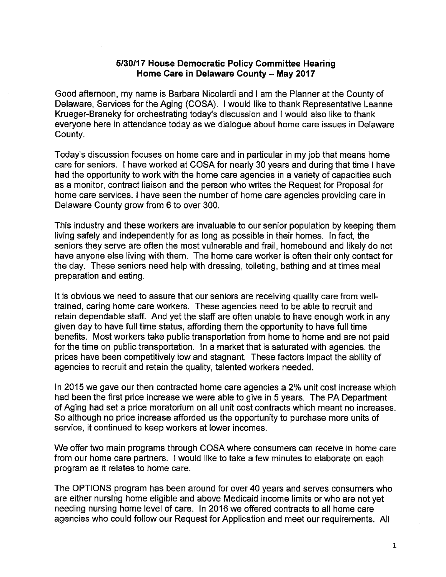#### 5/30/17 House Democratic Policy Committee Hearing Home Care in Delaware County - May 2017

Good afternoon, my name is Barbara Nicolardi and I am the Planner at the County of Delaware, Services for the Aging (COSA). I would like to thank Representative Leanne Krueger-Braneky for orchestrating today's discussion and I would also like to thank everyone here in attendance today as we dialogue about home care issues in Delaware County.

Today's discussion focuses on home care and in particular in my job that means home care for seniors. I have worked at COSA for nearly 30 years and during that time I have had the opportunity to work with the home care agencies in a variety of capacities such as a monitor, contract liaison and the person who writes the Request for Proposal for home care services. I have seen the number of home care agencies providing care in Delaware County grow from 6 to over 300.

This industry and these workers are invaluable to our senior population by keeping them living safely and independently for as long as possible in their homes. In fact, the seniors they serve are often the most vulnerable and frail, homebound and likely do not have anyone else living with them. The home care worker is often their only contact for the day. These seniors need help with dressing, toileting, bathing and at times meal preparation and eating.

It is obvious we need to assure that our seniors are receiving quality care from welltrained, caring home care workers. These agencies need to be able to recruit and retain dependable staff. And yet the staff are often unable to have enough work in any given day to have full time status, affording them the opportunity to have full time benefits. Most workers take public transportation from home to home and are not paid for the time on public transportation. In a market that is saturated with agencies, the prices have been competitively low and stagnant. These factors impact the ability of agencies to recruit and retain the quality, talented workers needed.

In 2015 we gave our then contracted home care agencies a 2% unit cost increase which had been the first price increase we were able to give in 5 years. The PA Department of Aging had set a price moratorium on all unit cost contracts which meant no increases. So although no price increase afforded us the opportunity to purchase more units of service, it continued to keep workers at lower incomes.

We offer two main programs through COSA where consumers can receive in home care from our home care partners. I would like to take a few minutes to elaborate on each program as it relates to home care.

The OPTIONS program has been around for over 40 years and serves consumers who are either nursing home eligible and above Medicaid income limits or who are not yet needing nursing home level of care. In 2016 we offered contracts to all home care agencies who could follow our Request for Application and meet our requirements. All